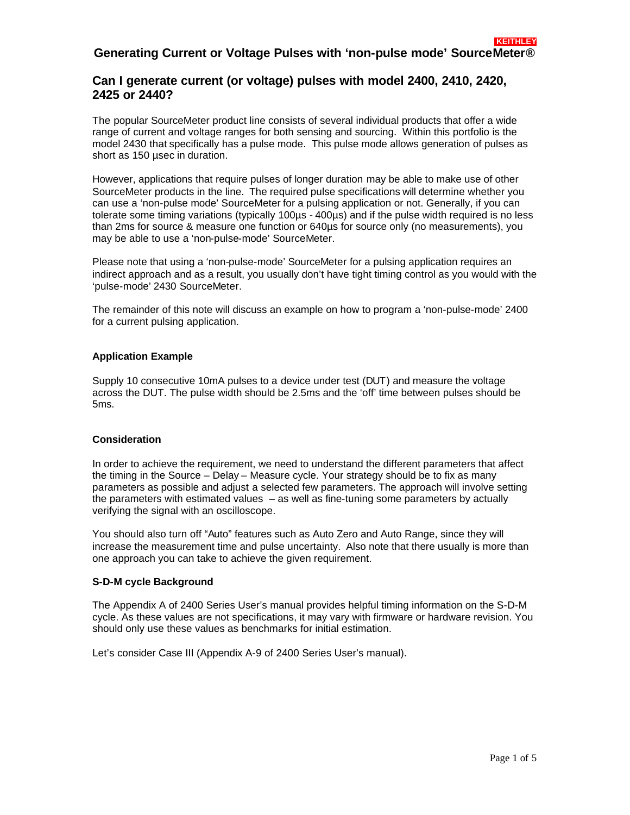# **Generating Current or Voltage Pulses with 'non-pulse mode' SourceMeter®**

## **Can I generate current (or voltage) pulses with model 2400, 2410, 2420, 2425 or 2440?**

The popular SourceMeter product line consists of several individual products that offer a wide range of current and voltage ranges for both sensing and sourcing. Within this portfolio is the model 2430 that specifically has a pulse mode. This pulse mode allows generation of pulses as short as 150 µsec in duration.

However, applications that require pulses of longer duration may be able to make use of other SourceMeter products in the line. The required pulse specifications will determine whether you can use a 'non-pulse mode' SourceMeter for a pulsing application or not. Generally, if you can tolerate some timing variations (typically 100µs - 400µs) and if the pulse width required is no less than 2ms for source & measure one function or 640µs for source only (no measurements), you may be able to use a 'non-pulse-mode' SourceMeter.

Please note that using a 'non-pulse-mode' SourceMeter for a pulsing application requires an indirect approach and as a result, you usually don't have tight timing control as you would with the 'pulse-mode' 2430 SourceMeter.

The remainder of this note will discuss an example on how to program a 'non-pulse-mode' 2400 for a current pulsing application.

### **Application Example**

Supply 10 consecutive 10mA pulses to a device under test (DUT) and measure the voltage across the DUT. The pulse width should be 2.5ms and the 'off' time between pulses should be 5ms.

#### **Consideration**

In order to achieve the requirement, we need to understand the different parameters that affect the timing in the Source – Delay – Measure cycle. Your strategy should be to fix as many parameters as possible and adjust a selected few parameters. The approach will involve setting the parameters with estimated values – as well as fine-tuning some parameters by actually verifying the signal with an oscilloscope.

You should also turn off "Auto" features such as Auto Zero and Auto Range, since they will increase the measurement time and pulse uncertainty. Also note that there usually is more than one approach you can take to achieve the given requirement.

#### **S-D-M cycle Background**

The Appendix A of 2400 Series User's manual provides helpful timing information on the S-D-M cycle. As these values are not specifications, it may vary with firmware or hardware revision. You should only use these values as benchmarks for initial estimation.

Let's consider Case III (Appendix A-9 of 2400 Series User's manual).

 **KEITHLEY**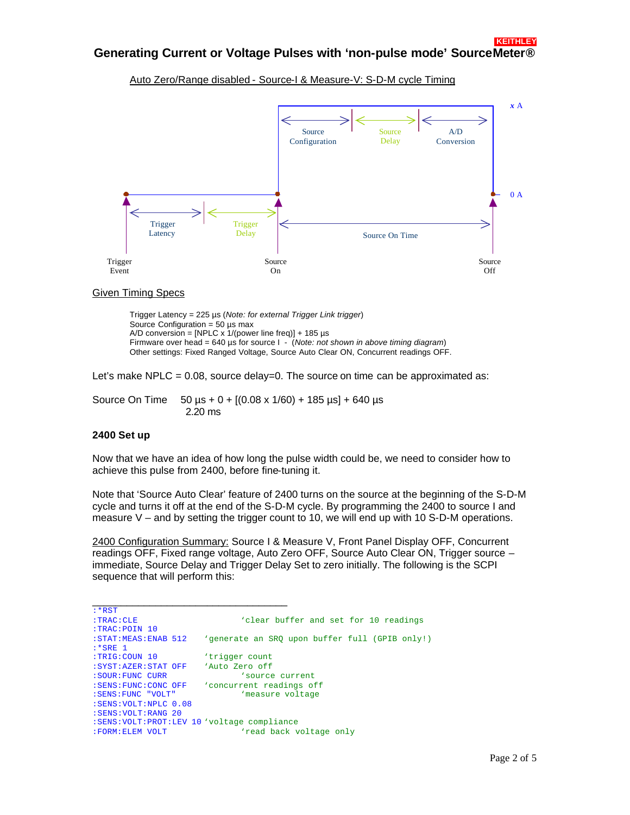Auto Zero/Range disabled - Source-I & Measure-V: S-D-M cycle Timing



#### Given Timing Specs

Trigger Latency = 225 µs (*Note: for external Trigger Link trigger*) Source Configuration =  $50 \mu s$  max A/D conversion = [NPLC x  $1/(power line freq)$ ] + 185 µs Firmware over head = 640 µs for source I - (*Note: not shown in above timing diagram*) Other settings: Fixed Ranged Voltage, Source Auto Clear ON, Concurrent readings OFF.

Let's make NPLC =  $0.08$ , source delay=0. The source on time can be approximated as:

Source On Time  $50 \mu s + 0 + [(0.08 \times 1/60) + 185 \mu s] + 640 \mu s$ 2.20 ms

#### **2400 Set up**

Now that we have an idea of how long the pulse width could be, we need to consider how to achieve this pulse from 2400, before fine-tuning it.

Note that 'Source Auto Clear' feature of 2400 turns on the source at the beginning of the S-D-M cycle and turns it off at the end of the S-D-M cycle. By programming the 2400 to source I and measure  $V -$  and by setting the trigger count to 10, we will end up with 10 S-D-M operations.

2400 Configuration Summary: Source I & Measure V, Front Panel Display OFF, Concurrent readings OFF, Fixed range voltage, Auto Zero OFF, Source Auto Clear ON, Trigger source – immediate, Source Delay and Trigger Delay Set to zero initially. The following is the SCPI sequence that will perform this:

| $: *RST$                                      |                                                |
|-----------------------------------------------|------------------------------------------------|
| : <b>TRAC</b> : <b>CLE</b>                    | 'clear buffer and set for 10 readings          |
| :TRAC:POIN 10                                 |                                                |
| : STAT: MEAS: ENAB 512                        | 'generate an SRO upon buffer full (GPIB only!) |
| $:$ *SRE 1                                    |                                                |
| :TRIG:COUN 10                                 | 'trigger count                                 |
| : SYST: AZER: STAT OFF                        | 'Auto Zero off                                 |
| : SOUR: FUNC CURR                             | 'source current                                |
| : SENS: FUNC: CONC OFF                        | 'concurrent readings off                       |
| : SENS: FUNC "VOLT"                           | 'measure voltage                               |
| : SENS: VOLT: NPLC 0.08                       |                                                |
| : SENS: VOLT: RANG 20                         |                                                |
| :SENS: VOLT: PROT: LEV 10 'voltage compliance |                                                |
| : FORM: ELEM VOLT                             | 'read back voltage only                        |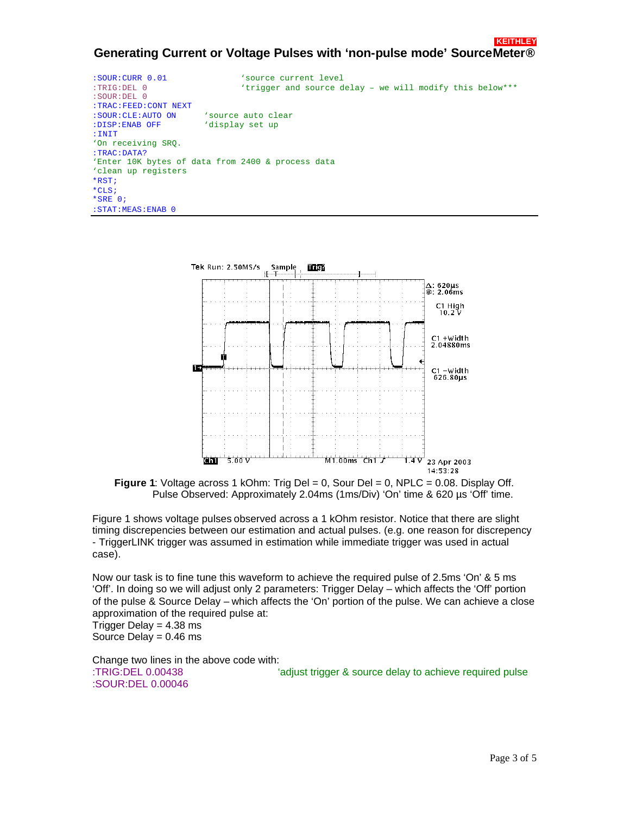#### **KEITHLEY Generating Current or Voltage Pulses with 'non-pulse mode' SourceMeter®**

| $:$ SOUR: CURR $0.01$<br>$:TRIG:DEL$ 0<br>$:$ SOUR : DEL 0 | 'source current level<br>'trigger and source delay - we will modify this below*** |  |
|------------------------------------------------------------|-----------------------------------------------------------------------------------|--|
| : TRAC: FEED: CONT NEXT                                    |                                                                                   |  |
| : SOUR: CLE: AUTO ON                                       | source auto clear '                                                               |  |
| :DISP:ENAB OFF                                             | 'display set up                                                                   |  |
| : INIT                                                     |                                                                                   |  |
| 'On receiving SRO.                                         |                                                                                   |  |
| : <b>TRAC</b> : <b>DATA</b> ?                              |                                                                                   |  |
| 'Enter 10K bytes of data from 2400 & process data          |                                                                                   |  |
| 'clean up registers                                        |                                                                                   |  |
| $*RST$                                                     |                                                                                   |  |
| $*$ CLS;                                                   |                                                                                   |  |
| $*SRE 0;$                                                  |                                                                                   |  |
| $:STAT:MEAS:ENAB$ <sup>0</sup>                             |                                                                                   |  |



**Figure 1:** Voltage across 1 kOhm: Trig Del = 0, Sour Del = 0, NPLC = 0.08. Display Off. Pulse Observed: Approximately 2.04ms (1ms/Div) 'On' time & 620 µs 'Off' time.

Figure 1 shows voltage pulses observed across a 1 kOhm resistor. Notice that there are slight timing discrepencies between our estimation and actual pulses. (e.g. one reason for discrepency - TriggerLINK trigger was assumed in estimation while immediate trigger was used in actual case).

Now our task is to fine tune this waveform to achieve the required pulse of 2.5ms 'On' & 5 ms 'Off'. In doing so we will adjust only 2 parameters: Trigger Delay – which affects the 'Off' portion of the pulse & Source Delay – which affects the 'On' portion of the pulse. We can achieve a close approximation of the required pulse at: Trigger Delay  $= 4.38$  ms Source Delay = 0.46 ms

Change two lines in the above code with: :TRIG:DEL 0.00438 'adjust trigger & source delay to achieve required pulse :SOUR:DEL 0.00046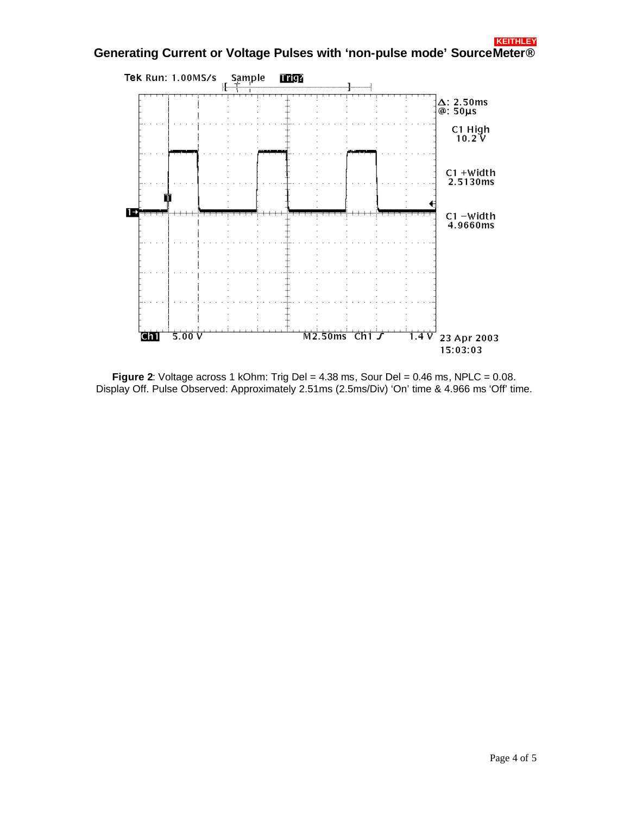

**Figure 2:** Voltage across 1 kOhm: Trig Del = 4.38 ms, Sour Del = 0.46 ms, NPLC = 0.08. Display Off. Pulse Observed: Approximately 2.51ms (2.5ms/Div) 'On' time & 4.966 ms 'Off' time.